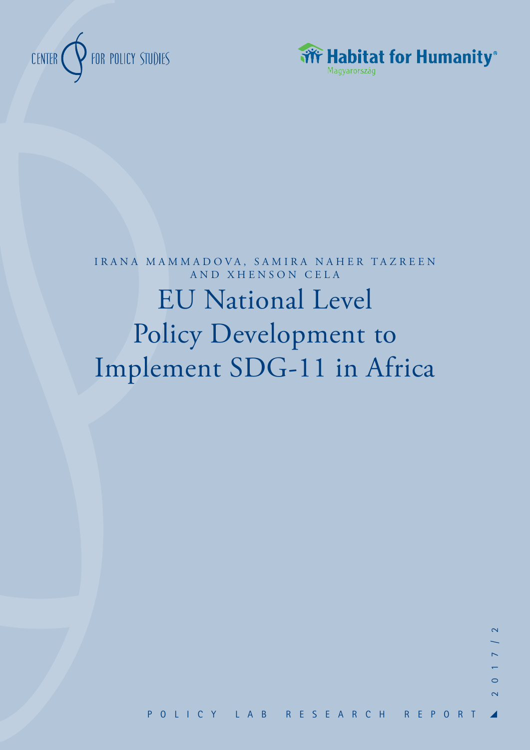



# EU National Level Policy Development to Implement SDG-11 in Africa IRANA MAMMADOVA, SAMIRA NAHER TAZREEN AND XHENSON CELA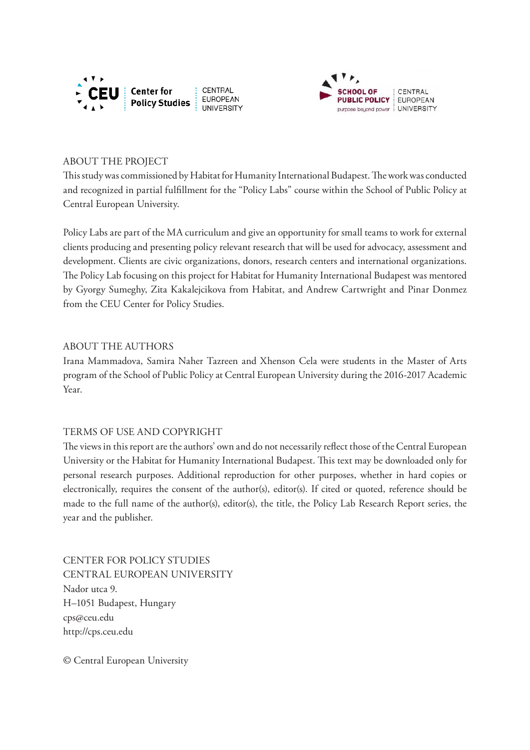



## ABOUT THE PROJECT

This study was commissioned by Habitat for Humanity International Budapest. The work was conducted and recognized in partial fulfillment for the "Policy Labs" course within the School of Public Policy at Central European University.

Policy Labs are part of the MA curriculum and give an opportunity for small teams to work for external clients producing and presenting policy relevant research that will be used for advocacy, assessment and development. Clients are civic organizations, donors, research centers and international organizations. The Policy Lab focusing on this project for Habitat for Humanity International Budapest was mentored by Gyorgy Sumeghy, Zita Kakalejcikova from Habitat, and Andrew Cartwright and Pinar Donmez from the CEU Center for Policy Studies.

#### ABOUT THE AUTHORS

Irana Mammadova, Samira Naher Tazreen and Xhenson Cela were students in the Master of Arts program of the School of Public Policy at Central European University during the 2016-2017 Academic Year.

## TERMS OF USE AND COPYRIGHT

The views in this report are the authors' own and do not necessarily reflect those of the Central European University or the Habitat for Humanity International Budapest. This text may be downloaded only for personal research purposes. Additional reproduction for other purposes, whether in hard copies or electronically, requires the consent of the author(s), editor(s). If cited or quoted, reference should be made to the full name of the author(s), editor(s), the title, the Policy Lab Research Report series, the year and the publisher.

CENTER FOR POLICY STUDIES CENTRAL EUROPEAN UNIVERSITY Nador utca 9. H–1051 Budapest, Hungary cps@ceu.edu http://cps.ceu.edu

© Central European University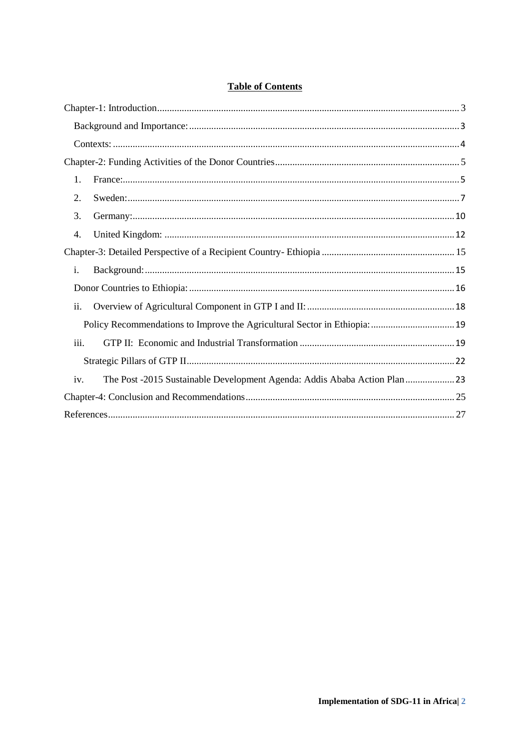# **Table of Contents**

| 1.                                                                                |  |
|-----------------------------------------------------------------------------------|--|
| 2.                                                                                |  |
| 3.                                                                                |  |
| 4.                                                                                |  |
|                                                                                   |  |
| i.                                                                                |  |
|                                                                                   |  |
| ii.                                                                               |  |
|                                                                                   |  |
| iii.                                                                              |  |
|                                                                                   |  |
| The Post -2015 Sustainable Development Agenda: Addis Ababa Action Plan  23<br>iv. |  |
|                                                                                   |  |
|                                                                                   |  |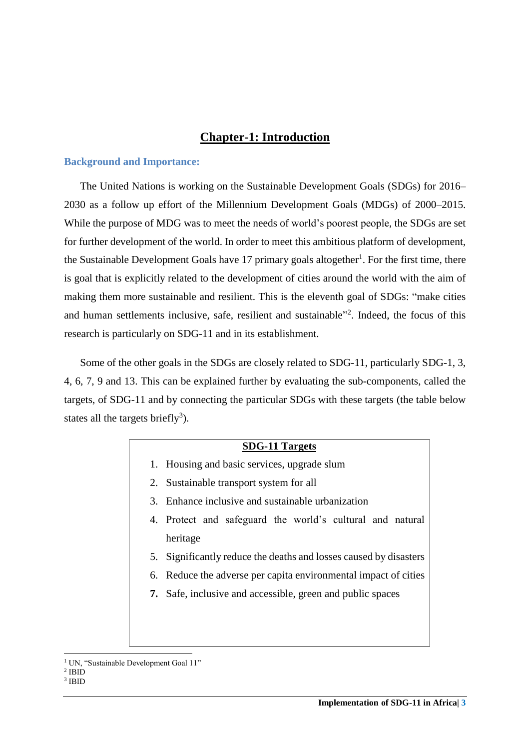# **Chapter-1: Introduction**

#### <span id="page-3-1"></span><span id="page-3-0"></span>**Background and Importance:**

The United Nations is working on the Sustainable Development Goals (SDGs) for 2016– 2030 as a follow up effort of the Millennium Development Goals (MDGs) of 2000–2015. While the purpose of MDG was to meet the needs of world's poorest people, the SDGs are set for further development of the world. In order to meet this ambitious platform of development, the Sustainable Development Goals have 17 primary goals altogether<sup>1</sup>. For the first time, there is goal that is explicitly related to the development of cities around the world with the aim of making them more sustainable and resilient. This is the eleventh goal of SDGs: "make cities and human settlements inclusive, safe, resilient and sustainable" 2 . Indeed, the focus of this research is particularly on SDG-11 and in its establishment.

Some of the other goals in the SDGs are closely related to SDG-11, particularly SDG-1, 3, 4, 6, 7, 9 and 13. This can be explained further by evaluating the sub-components, called the targets, of SDG-11 and by connecting the particular SDGs with these targets (the table below states all the targets briefly<sup>3</sup>).

## **SDG-11 Targets**

- 1. Housing and basic services, upgrade slum
- 2. Sustainable transport system for all
- 3. Enhance inclusive and sustainable urbanization
- 4. Protect and safeguard the world's cultural and natural heritage
- 5. Significantly reduce the deaths and losses caused by disasters
- 6. Reduce the adverse per capita environmental impact of cities
- **7.** Safe, inclusive and accessible, green and public spaces

<sup>&</sup>lt;sup>1</sup> UN, "Sustainable Development Goal 11"

<sup>2</sup> IBID 3 IBID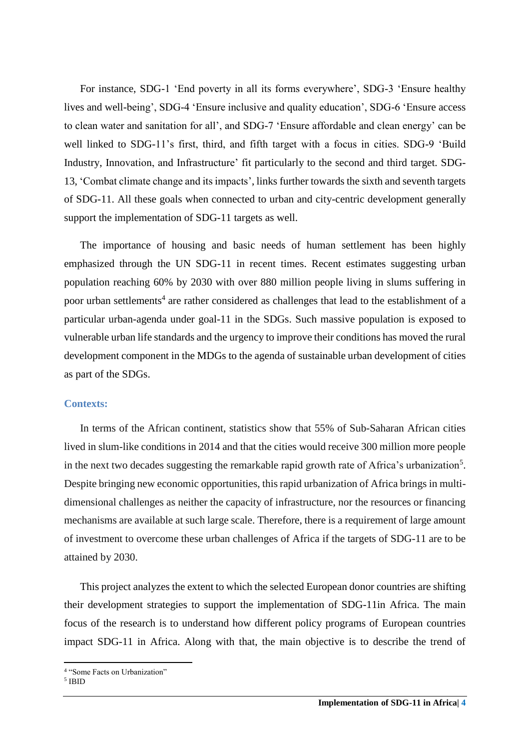For instance, SDG-1 'End poverty in all its forms everywhere', SDG-3 'Ensure healthy lives and well-being', SDG-4 'Ensure inclusive and quality education', SDG-6 'Ensure access to clean water and sanitation for all', and SDG-7 'Ensure affordable and clean energy' can be well linked to SDG-11's first, third, and fifth target with a focus in cities. SDG-9 'Build Industry, Innovation, and Infrastructure' fit particularly to the second and third target. SDG-13, 'Combat climate change and its impacts', links further towards the sixth and seventh targets of SDG-11. All these goals when connected to urban and city-centric development generally support the implementation of SDG-11 targets as well.

The importance of housing and basic needs of human settlement has been highly emphasized through the UN SDG-11 in recent times. Recent estimates suggesting urban population reaching 60% by 2030 with over 880 million people living in slums suffering in poor urban settlements<sup>4</sup> are rather considered as challenges that lead to the establishment of a particular urban-agenda under goal-11 in the SDGs. Such massive population is exposed to vulnerable urban life standards and the urgency to improve their conditions has moved the rural development component in the MDGs to the agenda of sustainable urban development of cities as part of the SDGs.

### <span id="page-4-0"></span>**Contexts:**

In terms of the African continent, statistics show that 55% of Sub-Saharan African cities lived in slum-like conditions in 2014 and that the cities would receive 300 million more people in the next two decades suggesting the remarkable rapid growth rate of Africa's urbanization<sup>5</sup>. Despite bringing new economic opportunities, this rapid urbanization of Africa brings in multidimensional challenges as neither the capacity of infrastructure, nor the resources or financing mechanisms are available at such large scale. Therefore, there is a requirement of large amount of investment to overcome these urban challenges of Africa if the targets of SDG-11 are to be attained by 2030.

This project analyzes the extent to which the selected European donor countries are shifting their development strategies to support the implementation of SDG-11in Africa. The main focus of the research is to understand how different policy programs of European countries impact SDG-11 in Africa. Along with that, the main objective is to describe the trend of

5 IBID

<sup>4</sup> "Some Facts on Urbanization"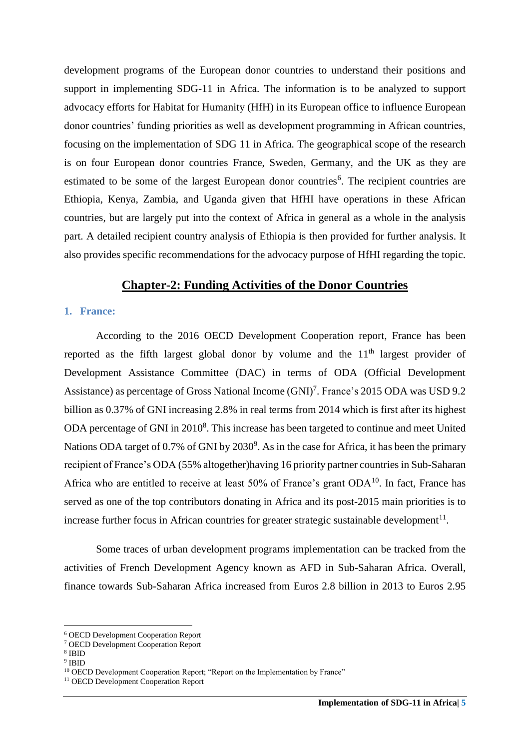development programs of the European donor countries to understand their positions and support in implementing SDG-11 in Africa. The information is to be analyzed to support advocacy efforts for Habitat for Humanity (HfH) in its European office to influence European donor countries' funding priorities as well as development programming in African countries, focusing on the implementation of SDG 11 in Africa. The geographical scope of the research is on four European donor countries France, Sweden, Germany, and the UK as they are estimated to be some of the largest European donor countries<sup>6</sup>. The recipient countries are Ethiopia, Kenya, Zambia, and Uganda given that HfHI have operations in these African countries, but are largely put into the context of Africa in general as a whole in the analysis part. A detailed recipient country analysis of Ethiopia is then provided for further analysis. It also provides specific recommendations for the advocacy purpose of HfHI regarding the topic.

## **Chapter-2: Funding Activities of the Donor Countries**

#### <span id="page-5-1"></span><span id="page-5-0"></span>**1. France:**

According to the 2016 OECD Development Cooperation report, France has been reported as the fifth largest global donor by volume and the  $11<sup>th</sup>$  largest provider of Development Assistance Committee (DAC) in terms of ODA (Official Development Assistance) as percentage of Gross National Income (GNI) 7 . France's 2015 ODA was USD 9.2 billion as 0.37% of GNI increasing 2.8% in real terms from 2014 which is first after its highest ODA percentage of GNI in  $2010<sup>8</sup>$ . This increase has been targeted to continue and meet United Nations ODA target of 0.7% of GNI by  $2030^9$ . As in the case for Africa, it has been the primary recipient of France's ODA (55% altogether)having 16 priority partner countries in Sub-Saharan Africa who are entitled to receive at least  $50\%$  of France's grant  $ODA^{10}$ . In fact, France has served as one of the top contributors donating in Africa and its post-2015 main priorities is to increase further focus in African countries for greater strategic sustainable development $^{11}$ .

Some traces of urban development programs implementation can be tracked from the activities of French Development Agency known as AFD in Sub-Saharan Africa. Overall, finance towards Sub-Saharan Africa increased from Euros 2.8 billion in 2013 to Euros 2.95

<sup>6</sup> OECD Development Cooperation Report

<sup>7</sup> OECD Development Cooperation Report

<sup>8</sup> IBID

<sup>9</sup> IBID

<sup>&</sup>lt;sup>10</sup> OECD Development Cooperation Report; "Report on the Implementation by France"

<sup>&</sup>lt;sup>11</sup> OECD Development Cooperation Report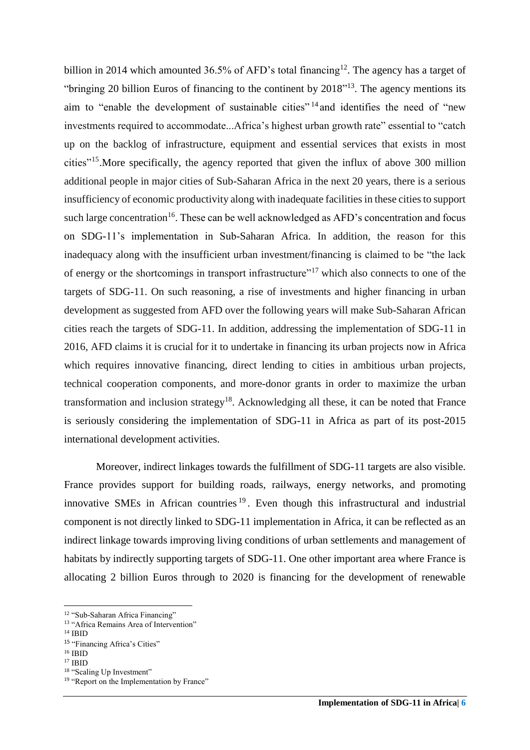billion in 2014 which amounted 36.5% of AFD's total financing<sup>12</sup>. The agency has a target of "bringing 20 billion Euros of financing to the continent by 2018"<sup>13</sup>. The agency mentions its aim to "enable the development of sustainable cities" <sup>14</sup> and identifies the need of "new investments required to accommodate...Africa's highest urban growth rate" essential to "catch up on the backlog of infrastructure, equipment and essential services that exists in most cities"<sup>15</sup> .More specifically, the agency reported that given the influx of above 300 million additional people in major cities of Sub-Saharan Africa in the next 20 years, there is a serious insufficiency of economic productivity along with inadequate facilities in these cities to support such large concentration<sup>16</sup>. These can be well acknowledged as AFD's concentration and focus on SDG-11's implementation in Sub-Saharan Africa. In addition, the reason for this inadequacy along with the insufficient urban investment/financing is claimed to be "the lack of energy or the shortcomings in transport infrastructure"<sup>17</sup> which also connects to one of the targets of SDG-11. On such reasoning, a rise of investments and higher financing in urban development as suggested from AFD over the following years will make Sub-Saharan African cities reach the targets of SDG-11. In addition, addressing the implementation of SDG-11 in 2016, AFD claims it is crucial for it to undertake in financing its urban projects now in Africa which requires innovative financing, direct lending to cities in ambitious urban projects, technical cooperation components, and more-donor grants in order to maximize the urban transformation and inclusion strategy<sup>18</sup>. Acknowledging all these, it can be noted that France is seriously considering the implementation of SDG-11 in Africa as part of its post-2015 international development activities.

Moreover, indirect linkages towards the fulfillment of SDG-11 targets are also visible. France provides support for building roads, railways, energy networks, and promoting innovative SMEs in African countries <sup>19</sup> . Even though this infrastructural and industrial component is not directly linked to SDG-11 implementation in Africa, it can be reflected as an indirect linkage towards improving living conditions of urban settlements and management of habitats by indirectly supporting targets of SDG-11. One other important area where France is allocating 2 billion Euros through to 2020 is financing for the development of renewable

<sup>12</sup> "Sub-Saharan Africa Financing"

<sup>&</sup>lt;sup>13</sup> "Africa Remains Area of Intervention"

<sup>14</sup> IBID

<sup>15 &</sup>quot;Financing Africa's Cities"

<sup>16</sup> IBID

<sup>17</sup> IBID

<sup>&</sup>lt;sup>18</sup> "Scaling Up Investment"

<sup>&</sup>lt;sup>19</sup> "Report on the Implementation by France"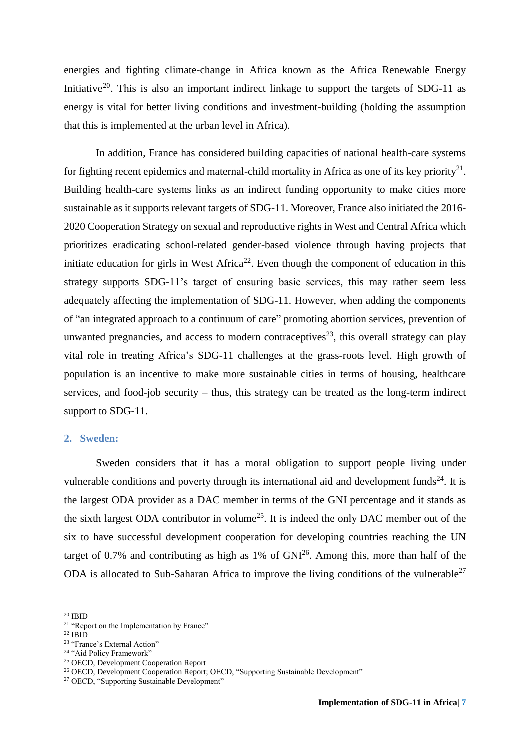energies and fighting climate-change in Africa known as the Africa Renewable Energy Initiative<sup>20</sup>. This is also an important indirect linkage to support the targets of SDG-11 as energy is vital for better living conditions and investment-building (holding the assumption that this is implemented at the urban level in Africa).

In addition, France has considered building capacities of national health-care systems for fighting recent epidemics and maternal-child mortality in Africa as one of its key priority<sup>21</sup>. Building health-care systems links as an indirect funding opportunity to make cities more sustainable as it supports relevant targets of SDG-11. Moreover, France also initiated the 2016- 2020 Cooperation Strategy on sexual and reproductive rights in West and Central Africa which prioritizes eradicating school-related gender-based violence through having projects that initiate education for girls in West Africa<sup>22</sup>. Even though the component of education in this strategy supports SDG-11's target of ensuring basic services, this may rather seem less adequately affecting the implementation of SDG-11. However, when adding the components of "an integrated approach to a continuum of care" promoting abortion services, prevention of unwanted pregnancies, and access to modern contraceptives<sup>23</sup>, this overall strategy can play vital role in treating Africa's SDG-11 challenges at the grass-roots level. High growth of population is an incentive to make more sustainable cities in terms of housing, healthcare services, and food-job security – thus, this strategy can be treated as the long-term indirect support to SDG-11.

#### <span id="page-7-0"></span>**2. Sweden:**

Sweden considers that it has a moral obligation to support people living under vulnerable conditions and poverty through its international aid and development funds<sup>24</sup>. It is the largest ODA provider as a DAC member in terms of the GNI percentage and it stands as the sixth largest ODA contributor in volume<sup>25</sup>. It is indeed the only DAC member out of the six to have successful development cooperation for developing countries reaching the UN target of 0.7% and contributing as high as  $1\%$  of  $GNI^{26}$ . Among this, more than half of the ODA is allocated to Sub-Saharan Africa to improve the living conditions of the vulnerable<sup>27</sup>

 $\overline{a}$ 

 $^{22}$  IBID

<sup>25</sup> OECD, Development Cooperation Report

 $^{20}$  IBID

<sup>&</sup>lt;sup>21</sup> "Report on the Implementation by France"

<sup>&</sup>lt;sup>23</sup> "France's External Action"

<sup>&</sup>lt;sup>24</sup> "Aid Policy Framework"

<sup>&</sup>lt;sup>26</sup> OECD, Development Cooperation Report; OECD, "Supporting Sustainable Development"

<sup>&</sup>lt;sup>27</sup> OECD, "Supporting Sustainable Development"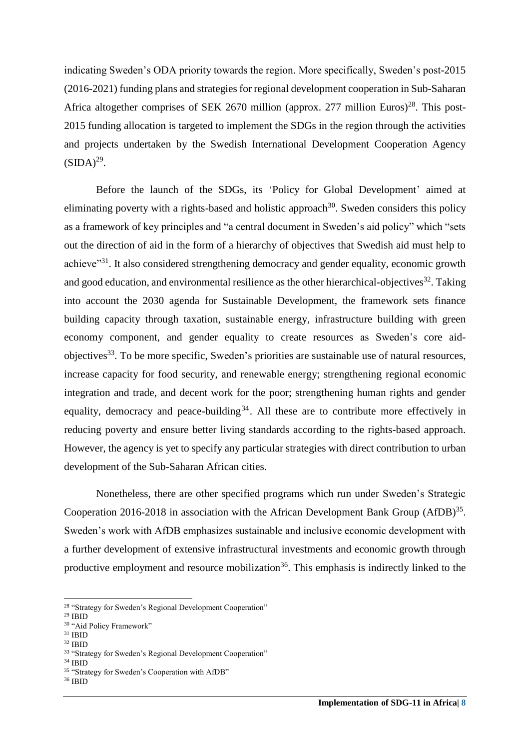indicating Sweden's ODA priority towards the region. More specifically, Sweden's post-2015 (2016-2021) funding plans and strategies for regional development cooperation in Sub-Saharan Africa altogether comprises of SEK 2670 million (approx. 277 million Euros)<sup>28</sup>. This post-2015 funding allocation is targeted to implement the SDGs in the region through the activities and projects undertaken by the Swedish International Development Cooperation Agency  $(SIDA)^{29}$ .

Before the launch of the SDGs, its 'Policy for Global Development' aimed at eliminating poverty with a rights-based and holistic approach<sup>30</sup>. Sweden considers this policy as a framework of key principles and "a central document in Sweden's aid policy" which "sets out the direction of aid in the form of a hierarchy of objectives that Swedish aid must help to achieve"<sup>31</sup>. It also considered strengthening democracy and gender equality, economic growth and good education, and environmental resilience as the other hierarchical-objectives<sup>32</sup>. Taking into account the 2030 agenda for Sustainable Development, the framework sets finance building capacity through taxation, sustainable energy, infrastructure building with green economy component, and gender equality to create resources as Sweden's core aidobjectives<sup>33</sup>. To be more specific, Sweden's priorities are sustainable use of natural resources, increase capacity for food security, and renewable energy; strengthening regional economic integration and trade, and decent work for the poor; strengthening human rights and gender equality, democracy and peace-building<sup>34</sup>. All these are to contribute more effectively in reducing poverty and ensure better living standards according to the rights-based approach. However, the agency is yet to specify any particular strategies with direct contribution to urban development of the Sub-Saharan African cities.

Nonetheless, there are other specified programs which run under Sweden's Strategic Cooperation 2016-2018 in association with the African Development Bank Group  $(AfDB)^{35}$ . Sweden's work with AfDB emphasizes sustainable and inclusive economic development with a further development of extensive infrastructural investments and economic growth through productive employment and resource mobilization<sup>36</sup>. This emphasis is indirectly linked to the

**.** 

- $31$  IBID
- <sup>32</sup> IBID

<sup>34</sup> IBID

<sup>36</sup> IBID

<sup>&</sup>lt;sup>28</sup> "Strategy for Sweden's Regional Development Cooperation"

 $^{\rm 29}$  IBID

<sup>30</sup> "Aid Policy Framework"

<sup>&</sup>lt;sup>33</sup> "Strategy for Sweden's Regional Development Cooperation"

<sup>35</sup> "Strategy for Sweden's Cooperation with AfDB"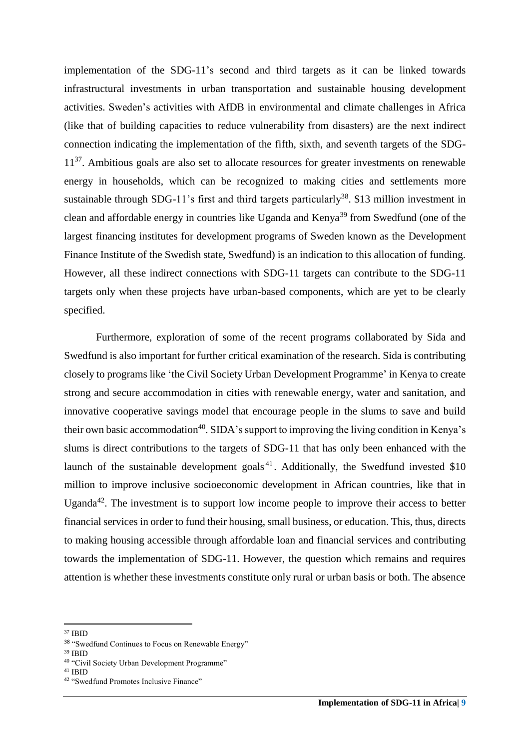implementation of the SDG-11's second and third targets as it can be linked towards infrastructural investments in urban transportation and sustainable housing development activities. Sweden's activities with AfDB in environmental and climate challenges in Africa (like that of building capacities to reduce vulnerability from disasters) are the next indirect connection indicating the implementation of the fifth, sixth, and seventh targets of the SDG-11<sup>37</sup>. Ambitious goals are also set to allocate resources for greater investments on renewable energy in households, which can be recognized to making cities and settlements more sustainable through SDG-11's first and third targets particularly<sup>38</sup>. \$13 million investment in clean and affordable energy in countries like Uganda and Kenya<sup>39</sup> from Swedfund (one of the largest financing institutes for development programs of Sweden known as the Development Finance Institute of the Swedish state, Swedfund) is an indication to this allocation of funding. However, all these indirect connections with SDG-11 targets can contribute to the SDG-11 targets only when these projects have urban-based components, which are yet to be clearly specified.

Furthermore, exploration of some of the recent programs collaborated by Sida and Swedfund is also important for further critical examination of the research. Sida is contributing closely to programs like 'the Civil Society Urban Development Programme' in Kenya to create strong and secure accommodation in cities with renewable energy, water and sanitation, and innovative cooperative savings model that encourage people in the slums to save and build their own basic accommodation<sup>40</sup>. SIDA's support to improving the living condition in Kenya's slums is direct contributions to the targets of SDG-11 that has only been enhanced with the launch of the sustainable development goals<sup>41</sup>. Additionally, the Swedfund invested  $$10$ million to improve inclusive socioeconomic development in African countries, like that in Uganda $42$ . The investment is to support low income people to improve their access to better financial services in order to fund their housing, small business, or education. This, thus, directs to making housing accessible through affordable loan and financial services and contributing towards the implementation of SDG-11. However, the question which remains and requires attention is whether these investments constitute only rural or urban basis or both. The absence

<sup>39</sup> IBID

**<sup>.</sup>** <sup>37</sup> IBID

<sup>38</sup> "Swedfund Continues to Focus on Renewable Energy"

<sup>40</sup> "Civil Society Urban Development Programme"

<sup>41</sup> IBID

<sup>42</sup> "Swedfund Promotes Inclusive Finance"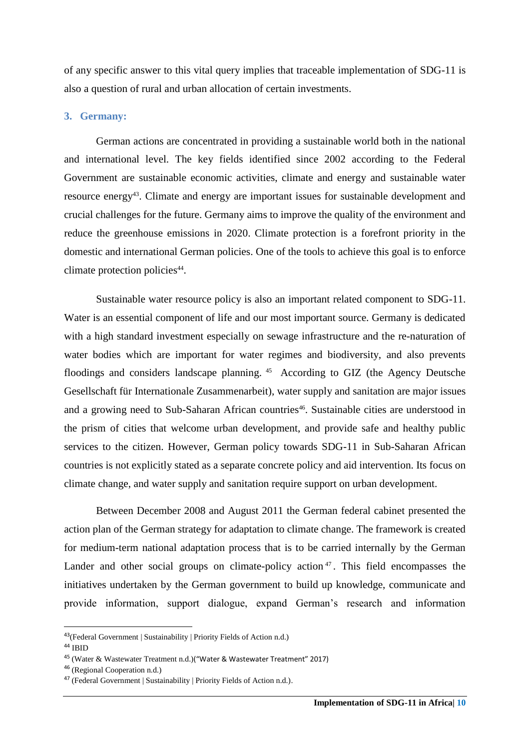of any specific answer to this vital query implies that traceable implementation of SDG-11 is also a question of rural and urban allocation of certain investments.

#### <span id="page-10-0"></span>**3. Germany:**

German actions are concentrated in providing a sustainable world both in the national and international level. The key fields identified since 2002 according to the Federal Government are sustainable economic activities, climate and energy and sustainable water resource energy<sup>43</sup>. Climate and energy are important issues for sustainable development and crucial challenges for the future. Germany aims to improve the quality of the environment and reduce the greenhouse emissions in 2020. Climate protection is a forefront priority in the domestic and international German policies. One of the tools to achieve this goal is to enforce climate protection policies<sup>44</sup>.

Sustainable water resource policy is also an important related component to SDG-11. Water is an essential component of life and our most important source. Germany is dedicated with a high standard investment especially on sewage infrastructure and the re-naturation of water bodies which are important for water regimes and biodiversity, and also prevents floodings and considers landscape planning. <sup>45</sup> According to GIZ (the Agency Deutsche Gesellschaft für Internationale Zusammenarbeit), water supply and sanitation are major issues and a growing need to Sub-Saharan African countries<sup>46</sup>. Sustainable cities are understood in the prism of cities that welcome urban development, and provide safe and healthy public services to the citizen. However, German policy towards SDG-11 in Sub-Saharan African countries is not explicitly stated as a separate concrete policy and aid intervention. Its focus on climate change, and water supply and sanitation require support on urban development.

Between December 2008 and August 2011 the German federal cabinet presented the action plan of the German strategy for adaptation to climate change. The framework is created for medium-term national adaptation process that is to be carried internally by the German Lander and other social groups on climate-policy action<sup>47</sup>. This field encompasses the initiatives undertaken by the German government to build up knowledge, communicate and provide information, support dialogue, expand German's research and information

<sup>43</sup>(Federal Government | Sustainability | Priority Fields of Action n.d.)

<sup>44</sup> IBID

<sup>45</sup> (Water & Wastewater Treatment n.d.)("Water & Wastewater Treatment" 2017)

<sup>46</sup> (Regional Cooperation n.d.)

<sup>47</sup> (Federal Government | Sustainability | Priority Fields of Action n.d.).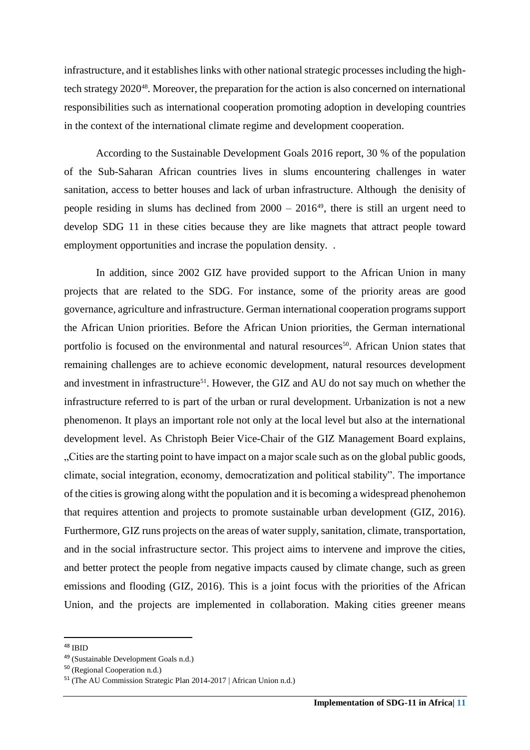infrastructure, and it establishes links with other national strategic processes including the hightech strategy 202048. Moreover, the preparation for the action is also concerned on international responsibilities such as international cooperation promoting adoption in developing countries in the context of the international climate regime and development cooperation.

According to the Sustainable Development Goals 2016 report, 30 % of the population of the Sub-Saharan African countries lives in slums encountering challenges in water sanitation, access to better houses and lack of urban infrastructure. Although the denisity of people residing in slums has declined from  $2000 - 2016^{49}$ , there is still an urgent need to develop SDG 11 in these cities because they are like magnets that attract people toward employment opportunities and incrase the population density. .

In addition, since 2002 GIZ have provided support to the African Union in many projects that are related to the SDG. For instance, some of the priority areas are good governance, agriculture and infrastructure. German international cooperation programs support the African Union priorities. Before the African Union priorities, the German international portfolio is focused on the environmental and natural resources<sup>50</sup>. African Union states that remaining challenges are to achieve economic development, natural resources development and investment in infrastructure<sup>51</sup>. However, the GIZ and AU do not say much on whether the infrastructure referred to is part of the urban or rural development. Urbanization is not a new phenomenon. It plays an important role not only at the local level but also at the international development level. As Christoph Beier Vice-Chair of the GIZ Management Board explains, "Cities are the starting point to have impact on a major scale such as on the global public goods, climate, social integration, economy, democratization and political stability". The importance of the cities is growing along witht the population and it is becoming a widespread phenohemon that requires attention and projects to promote sustainable urban development (GIZ, 2016). Furthermore, GIZ runs projects on the areas of water supply, sanitation, climate, transportation, and in the social infrastructure sector. This project aims to intervene and improve the cities, and better protect the people from negative impacts caused by climate change, such as green emissions and flooding (GIZ, 2016). This is a joint focus with the priorities of the African Union, and the projects are implemented in collaboration. Making cities greener means

<sup>48</sup> IBID

<sup>49</sup> (Sustainable Development Goals n.d.)

<sup>50</sup> (Regional Cooperation n.d.)

<sup>51</sup> (The AU Commission Strategic Plan 2014-2017 | African Union n.d.)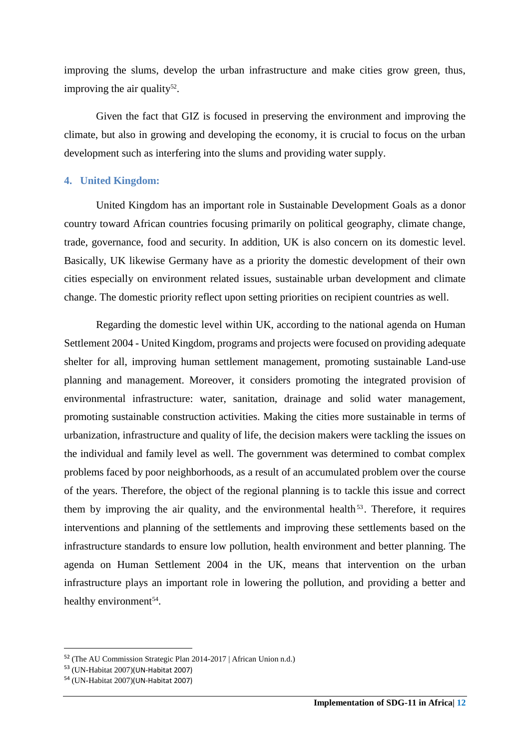improving the slums, develop the urban infrastructure and make cities grow green, thus, improving the air quality<sup>52</sup>.

Given the fact that GIZ is focused in preserving the environment and improving the climate, but also in growing and developing the economy, it is crucial to focus on the urban development such as interfering into the slums and providing water supply.

## <span id="page-12-0"></span>**4. United Kingdom:**

United Kingdom has an important role in Sustainable Development Goals as a donor country toward African countries focusing primarily on political geography, climate change, trade, governance, food and security. In addition, UK is also concern on its domestic level. Basically, UK likewise Germany have as a priority the domestic development of their own cities especially on environment related issues, sustainable urban development and climate change. The domestic priority reflect upon setting priorities on recipient countries as well.

Regarding the domestic level within UK, according to the national agenda on Human Settlement 2004 - United Kingdom, programs and projects were focused on providing adequate shelter for all, improving human settlement management, promoting sustainable Land-use planning and management. Moreover, it considers promoting the integrated provision of environmental infrastructure: water, sanitation, drainage and solid water management, promoting sustainable construction activities. Making the cities more sustainable in terms of urbanization, infrastructure and quality of life, the decision makers were tackling the issues on the individual and family level as well. The government was determined to combat complex problems faced by poor neighborhoods, as a result of an accumulated problem over the course of the years. Therefore, the object of the regional planning is to tackle this issue and correct them by improving the air quality, and the environmental health<sup>53</sup>. Therefore, it requires interventions and planning of the settlements and improving these settlements based on the infrastructure standards to ensure low pollution, health environment and better planning. The agenda on Human Settlement 2004 in the UK, means that intervention on the urban infrastructure plays an important role in lowering the pollution, and providing a better and healthy environment<sup>54</sup>.

<sup>52</sup> (The AU Commission Strategic Plan 2014-2017 | African Union n.d.)

<sup>53</sup> (UN-Habitat 2007)(UN-Habitat 2007)

<sup>54</sup> (UN-Habitat 2007)(UN-Habitat 2007)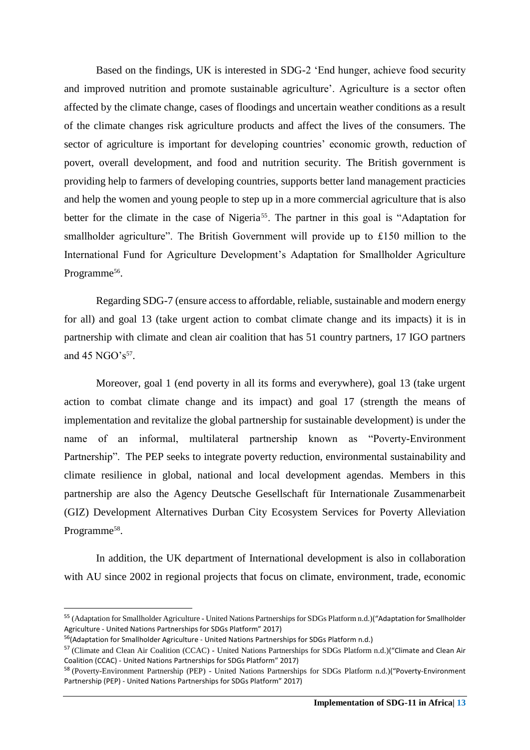Based on the findings, UK is interested in SDG-2 'End hunger, achieve food security and improved nutrition and promote sustainable agriculture'. Agriculture is a sector often affected by the climate change, cases of floodings and uncertain weather conditions as a result of the climate changes risk agriculture products and affect the lives of the consumers. The sector of agriculture is important for developing countries' economic growth, reduction of povert, overall development, and food and nutrition security. The British government is providing help to farmers of developing countries, supports better land management practicies and help the women and young people to step up in a more commercial agriculture that is also better for the climate in the case of Nigeria<sup>55</sup>. The partner in this goal is "Adaptation for smallholder agriculture". The British Government will provide up to £150 million to the International Fund for Agriculture Development's Adaptation for Smallholder Agriculture Programme<sup>56</sup>.

Regarding SDG-7 (ensure access to affordable, reliable, sustainable and modern energy for all) and goal 13 (take urgent action to combat climate change and its impacts) it is in partnership with climate and clean air coalition that has 51 country partners, 17 IGO partners and  $45$  NGO's<sup>57</sup>.

Moreover, goal 1 (end poverty in all its forms and everywhere), goal 13 (take urgent action to combat climate change and its impact) and goal 17 (strength the means of implementation and revitalize the global partnership for sustainable development) is under the name of an informal, multilateral partnership known as "Poverty-Environment Partnership". The PEP seeks to integrate poverty reduction, environmental sustainability and climate resilience in global, national and local development agendas. Members in this partnership are also the Agency Deutsche Gesellschaft für Internationale Zusammenarbeit (GIZ) Development Alternatives Durban City Ecosystem Services for Poverty Alleviation Programme<sup>58</sup>.

In addition, the UK department of International development is also in collaboration with AU since 2002 in regional projects that focus on climate, environment, trade, economic

<sup>55</sup> (Adaptation for Smallholder Agriculture - United Nations Partnerships for SDGs Platform n.d.)("Adaptation for Smallholder Agriculture - United Nations Partnerships for SDGs Platform" 2017)

<sup>56</sup>(Adaptation for Smallholder Agriculture - United Nations Partnerships for SDGs Platform n.d.)

<sup>&</sup>lt;sup>57</sup> (Climate and Clean Air Coalition (CCAC) - United Nations Partnerships for SDGs Platform n.d.)("Climate and Clean Air Coalition (CCAC) - United Nations Partnerships for SDGs Platform" 2017)

<sup>58</sup> (Poverty-Environment Partnership (PEP) - United Nations Partnerships for SDGs Platform n.d.)("Poverty-Environment Partnership (PEP) - United Nations Partnerships for SDGs Platform" 2017)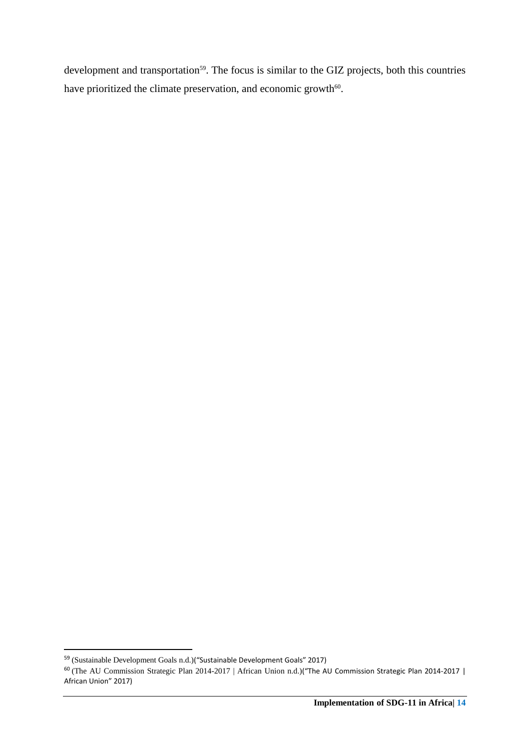development and transportation<sup>59</sup>. The focus is similar to the GIZ projects, both this countries have prioritized the climate preservation, and economic growth<sup>60</sup>.

<sup>&</sup>lt;sup>59</sup> (Sustainable Development Goals n.d.) ("Sustainable Development Goals" 2017)

 $^{60}$  (The AU Commission Strategic Plan 2014-2017 | African Union n.d.) ("The AU Commission Strategic Plan 2014-2017 | African Union" 2017)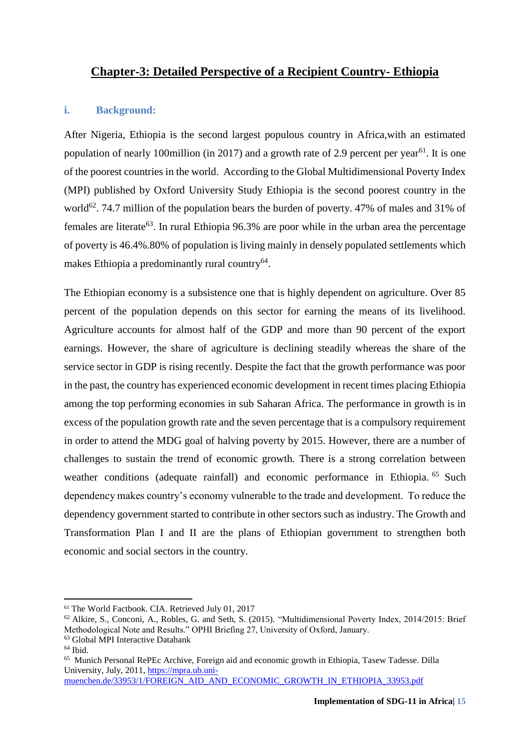# <span id="page-15-0"></span>**Chapter-3: Detailed Perspective of a Recipient Country- Ethiopia**

## <span id="page-15-1"></span>**i. Background:**

After Nigeria, Ethiopia is the second largest populous country in Africa,with an estimated population of nearly 100million (in 2017) and a growth rate of 2.9 percent per year<sup>61</sup>. It is one of the poorest countries in the world. According to the Global Multidimensional Poverty Index (MPI) published by Oxford University Study Ethiopia is the second poorest country in the world<sup>62</sup>. 74.7 million of the population bears the burden of poverty. 47% of males and 31% of females are literate<sup>63</sup>. In rural Ethiopia 96.3% are poor while in the urban area the percentage of poverty is 46.4%.80% of population is living mainly in densely populated settlements which makes Ethiopia a predominantly rural country<sup>64</sup>.

The Ethiopian economy is a subsistence one that is highly dependent on agriculture. Over 85 percent of the population depends on this sector for earning the means of its livelihood. Agriculture accounts for almost half of the GDP and more than 90 percent of the export earnings. However, the share of agriculture is declining steadily whereas the share of the service sector in GDP is rising recently. Despite the fact that the growth performance was poor in the past, the country has experienced economic development in recent times placing Ethiopia among the top performing economies in sub Saharan Africa. The performance in growth is in excess of the population growth rate and the seven percentage that is a compulsory requirement in order to attend the MDG goal of halving poverty by 2015. However, there are a number of challenges to sustain the trend of economic growth. There is a strong correlation between weather conditions (adequate rainfall) and economic performance in Ethiopia. <sup>65</sup> Such dependency makes country's economy vulnerable to the trade and development. To reduce the dependency government started to contribute in other sectors such as industry. The Growth and Transformation Plan I and II are the plans of Ethiopian government to strengthen both economic and social sectors in the country.

<sup>61</sup> The World Factbook. CIA. Retrieved July 01, 2017

<sup>62</sup> Alkire, S., Conconi, A., Robles, G. and Seth, S. (2015). "Multidimensional Poverty Index, 2014/2015: Brief Methodological Note and Results." OPHI Briefing 27, University of Oxford, January.

<sup>63</sup> Global MPI Interactive Databank

 $64$  Ibid.

<sup>&</sup>lt;sup>65</sup> Munich Personal RePEc Archive, Foreign aid and economic growth in Ethiopia, Tasew Tadesse. Dilla University, July, 2011, [https://mpra.ub.uni](https://mpra.ub.uni-muenchen.de/33953/1/FOREIGN_AID_AND_ECONOMIC_GROWTH_IN_ETHIOPIA_33953.pdf)[muenchen.de/33953/1/FOREIGN\\_AID\\_AND\\_ECONOMIC\\_GROWTH\\_IN\\_ETHIOPIA\\_33953.pdf](https://mpra.ub.uni-muenchen.de/33953/1/FOREIGN_AID_AND_ECONOMIC_GROWTH_IN_ETHIOPIA_33953.pdf)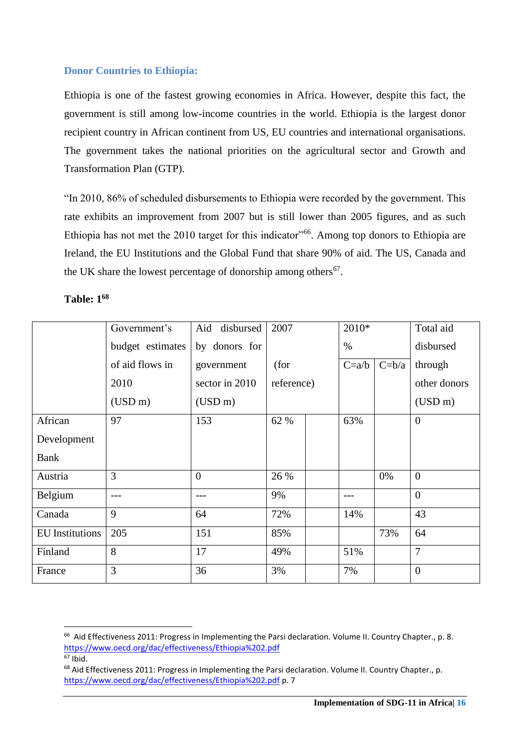# <span id="page-16-0"></span>**Donor Countries to Ethiopia:**

Ethiopia is one of the fastest growing economies in Africa. However, despite this fact, the government is still among low-income countries in the world. Ethiopia is the largest donor recipient country in African continent from US, EU countries and international organisations. The government takes the national priorities on the agricultural sector and Growth and Transformation Plan (GTP).

"In 2010, 86% of scheduled disbursements to Ethiopia were recorded by the government. This rate exhibits an improvement from 2007 but is still lower than 2005 figures, and as such Ethiopia has not met the 2010 target for this indicator<sup>366</sup>. Among top donors to Ethiopia are Ireland, the EU Institutions and the Global Fund that share 90% of aid. The US, Canada and the UK share the lowest percentage of donorship among others<sup>67</sup>.

|                        | Government's     | Aid disbursed  | 2007       | 2010*   |         | Total aid        |
|------------------------|------------------|----------------|------------|---------|---------|------------------|
|                        | budget estimates | by donors for  |            | $\%$    |         | disbursed        |
|                        | of aid flows in  | government     | (for       | $C=a/b$ | $C=b/a$ | through          |
|                        | 2010             | sector in 2010 | reference) |         |         | other donors     |
|                        | (USD m)          | (USD m)        |            |         |         | (USD m)          |
| African                | 97               | 153            | 62 %       | 63%     |         | $\overline{0}$   |
| Development            |                  |                |            |         |         |                  |
| <b>Bank</b>            |                  |                |            |         |         |                  |
| Austria                | 3                | $\overline{0}$ | 26 %       |         | 0%      | $\theta$         |
| Belgium                |                  | ---            | 9%         | ---     |         | $\overline{0}$   |
| Canada                 | 9                | 64             | 72%        | 14%     |         | 43               |
| <b>EU</b> Institutions | 205              | 151            | 85%        |         | 73%     | 64               |
| Finland                | 8                | 17             | 49%        | 51%     |         | $\overline{7}$   |
| France                 | 3                | 36             | 3%         | 7%      |         | $\boldsymbol{0}$ |

# **Table: 1<sup>68</sup>**

<sup>&</sup>lt;sup>66</sup> Aid Effectiveness 2011: Progress in Implementing the Parsi declaration. Volume II. Country Chapter., p. 8. <https://www.oecd.org/dac/effectiveness/Ethiopia%202.pdf>  $67$  Ibid.

<sup>&</sup>lt;sup>68</sup> Aid Effectiveness 2011: Progress in Implementing the Parsi declaration. Volume II. Country Chapter., p. <https://www.oecd.org/dac/effectiveness/Ethiopia%202.pdf> p. 7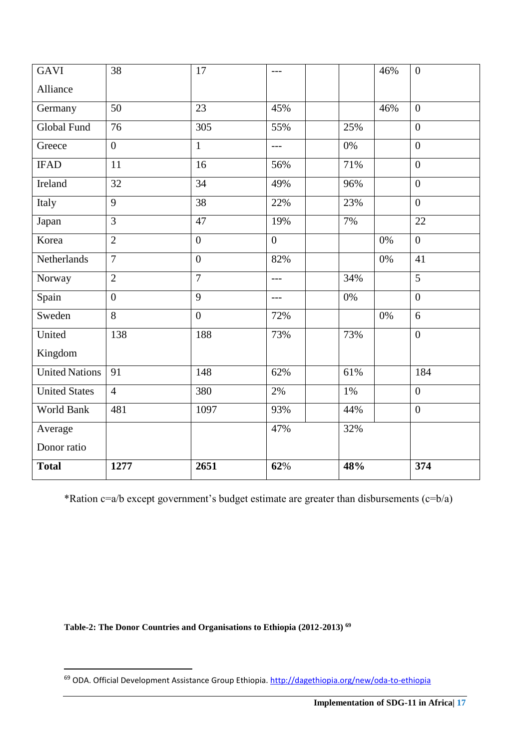| <b>GAVI</b>           | 38             | 17             | $---$          |       | 46%   | $\boldsymbol{0}$ |
|-----------------------|----------------|----------------|----------------|-------|-------|------------------|
| Alliance              |                |                |                |       |       |                  |
| Germany               | 50             | 23             | 45%            |       | 46%   | $\overline{0}$   |
| <b>Global Fund</b>    | 76             | 305            | 55%            | 25%   |       | $\overline{0}$   |
| Greece                | $\mathbf{0}$   | $\mathbf{1}$   | $-$ --         | $0\%$ |       | $\overline{0}$   |
| <b>IFAD</b>           | 11             | 16             | 56%            | 71%   |       | $\overline{0}$   |
| Ireland               | 32             | 34             | 49%            | 96%   |       | $\overline{0}$   |
| Italy                 | 9              | 38             | 22%            | 23%   |       | $\overline{0}$   |
| Japan                 | $\overline{3}$ | 47             | 19%            | 7%    |       | 22               |
| Korea                 | $\overline{2}$ | $\overline{0}$ | $\overline{0}$ |       | $0\%$ | $\overline{0}$   |
| Netherlands           | $\overline{7}$ | $\overline{0}$ | 82%            |       | $0\%$ | 41               |
| Norway                | $\overline{2}$ | $\overline{7}$ | $---$          | 34%   |       | $\overline{5}$   |
| Spain                 | $\overline{0}$ | 9              | $---$          | $0\%$ |       | $\overline{0}$   |
| Sweden                | $\overline{8}$ | $\overline{0}$ | 72%            |       | $0\%$ | 6                |
| United                | 138            | 188            | 73%            | 73%   |       | $\overline{0}$   |
| Kingdom               |                |                |                |       |       |                  |
| <b>United Nations</b> | 91             | 148            | 62%            | 61%   |       | 184              |
| <b>United States</b>  | $\overline{4}$ | 380            | 2%             | 1%    |       | $\overline{0}$   |
| World Bank            | 481            | 1097           | 93%            | 44%   |       | $\overline{0}$   |
| Average               |                |                | 47%            | 32%   |       |                  |
| Donor ratio           |                |                |                |       |       |                  |
| <b>Total</b>          | 1277           | 2651           | 62%            | 48%   |       | 374              |

\*Ration c=a/b except government's budget estimate are greater than disbursements (c=b/a)

**Table-2: The Donor Countries and Organisations to Ethiopia (2012-2013) <sup>69</sup>**

<sup>&</sup>lt;sup>69</sup> ODA. Official Development Assistance Group Ethiopia.<http://dagethiopia.org/new/oda-to-ethiopia>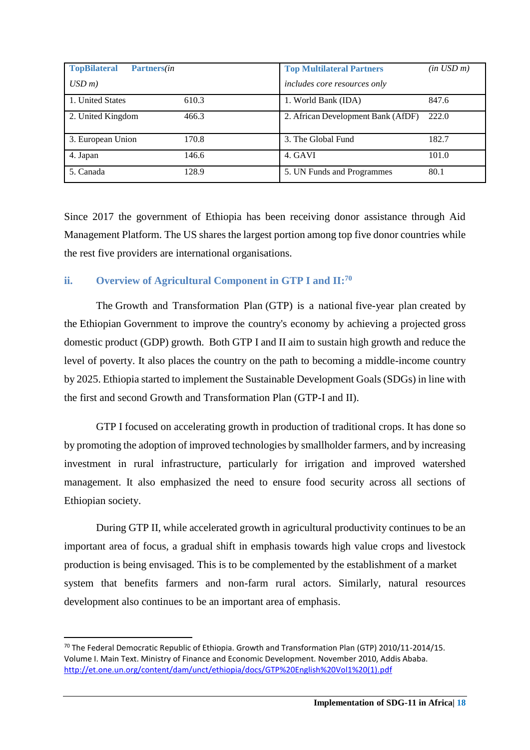| <b>TopBilateral</b><br>Partners( <i>in</i> |       | <b>Top Multilateral Partners</b>   | $(in$ $USD \, m)$ |
|--------------------------------------------|-------|------------------------------------|-------------------|
| $\text{USD}$ m)                            |       | includes core resources only       |                   |
| 1. United States                           | 610.3 | 1. World Bank (IDA)                | 847.6             |
| 2. United Kingdom                          | 466.3 | 2. African Development Bank (AfDF) | 222.0             |
| 3. European Union                          | 170.8 | 3. The Global Fund                 | 182.7             |
| 4. Japan                                   | 146.6 | 4. GAVI                            | 101.0             |
| 5. Canada                                  | 128.9 | 5. UN Funds and Programmes         | 80.1              |

Since 2017 the government of Ethiopia has been receiving donor assistance through Aid Management Platform. The US shares the largest portion among top five donor countries while the rest five providers are international organisations.

## <span id="page-18-0"></span>**ii. Overview of Agricultural Component in GTP I and II:<sup>70</sup>**

The Growth and Transformation Plan (GTP) is a national [five-year plan](https://en.wikipedia.org/wiki/Five-year_plans_of_Ethiopia) created by the [Ethiopian](https://en.wikipedia.org/wiki/Ethiopia) Government to improve the country's economy by achieving a projected [gross](https://en.wikipedia.org/wiki/Gross_domestic_product)  [domestic product](https://en.wikipedia.org/wiki/Gross_domestic_product) (GDP) growth. Both GTP I and II aim to sustain high growth and reduce the level of poverty. It also places the country on the path to becoming a middle-income country by 2025. Ethiopia started to implement the Sustainable Development Goals (SDGs) in line with the first and second Growth and Transformation Plan (GTP-I and II).

GTP I focused on accelerating growth in production of traditional crops. It has done so by promoting the adoption of improved technologies by smallholder farmers, and by increasing investment in rural infrastructure, particularly for irrigation and improved watershed management. It also emphasized the need to ensure food security across all sections of Ethiopian society.

During GTP II, while accelerated growth in agricultural productivity continues to be an important area of focus, a gradual shift in emphasis towards high value crops and livestock production is being envisaged. This is to be complemented by the establishment of a market system that benefits farmers and non-farm rural actors. Similarly, natural resources development also continues to be an important area of emphasis.

<sup>&</sup>lt;sup>70</sup> The Federal Democratic Republic of Ethiopia. Growth and Transformation Plan (GTP) 2010/11-2014/15. Volume I. Main Text. Ministry of Finance and Economic Development. November 2010, Addis Ababa. [http://et.one.un.org/content/dam/unct/ethiopia/docs/GTP%20English%20Vol1%20\(1\).pdf](http://et.one.un.org/content/dam/unct/ethiopia/docs/GTP%20English%20Vol1%20(1).pdf)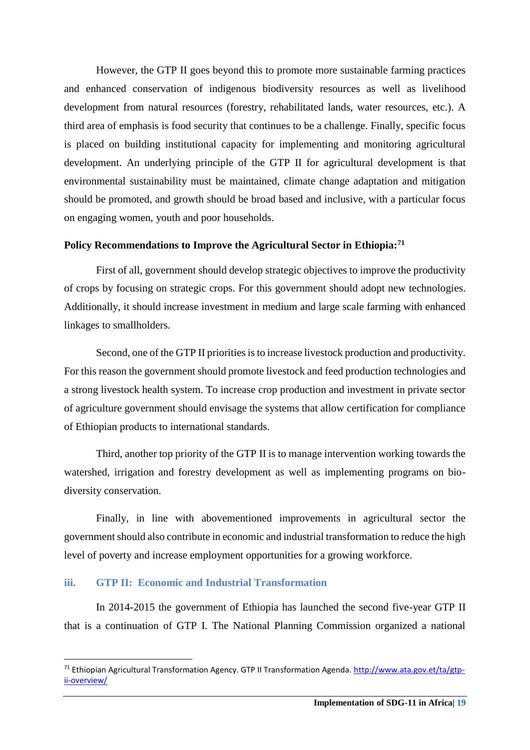However, the GTP II goes beyond this to promote more sustainable farming practices and enhanced conservation of indigenous biodiversity resources as well as livelihood development from natural resources (forestry, rehabilitated lands, water resources, etc.). A third area of emphasis is food security that continues to be a challenge. Finally, specific focus is placed on building institutional capacity for implementing and monitoring agricultural development. An underlying principle of the GTP II for agricultural development is that environmental sustainability must be maintained, climate change adaptation and mitigation should be promoted, and growth should be broad based and inclusive, with a particular focus on engaging women, youth and poor households.

#### <span id="page-19-0"></span>**Policy Recommendations to Improve the Agricultural Sector in Ethiopia:<sup>71</sup>**

First of all, government should develop strategic objectives to improve the productivity of crops by focusing on strategic crops. For this government should adopt new technologies. Additionally, it should increase investment in medium and large scale farming with enhanced linkages to smallholders.

Second, one of the GTP II priorities is to increase livestock production and productivity. For this reason the government should promote livestock and feed production technologies and a strong livestock health system. To increase crop production and investment in private sector of agriculture government should envisage the systems that allow certification for compliance of Ethiopian products to international standards.

Third, another top priority of the GTP II is to manage intervention working towards the watershed, irrigation and forestry development as well as implementing programs on biodiversity conservation.

Finally, in line with abovementioned improvements in agricultural sector the government should also contribute in economic and industrial transformation to reduce the high level of poverty and increase employment opportunities for a growing workforce.

## <span id="page-19-1"></span>**iii. GTP II: Economic and Industrial Transformation**

**.** 

In 2014-2015 the government of Ethiopia has launched the second five-year GTP II that is a continuation of GTP I. The National Planning Commission organized a national

<sup>&</sup>lt;sup>71</sup> Ethiopian Agricultural Transformation Agency. GTP II Transformation Agenda[. http://www.ata.gov.et/ta/gtp](http://www.ata.gov.et/ta/gtp-ii-overview/)[ii-overview/](http://www.ata.gov.et/ta/gtp-ii-overview/)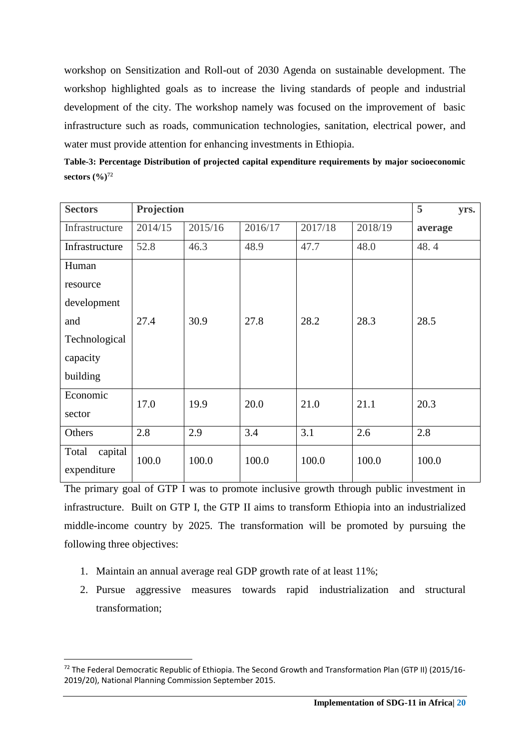workshop on Sensitization and Roll-out of 2030 Agenda on sustainable development. The workshop highlighted goals as to increase the living standards of people and industrial development of the city. The workshop namely was focused on the improvement of basic infrastructure such as roads, communication technologies, sanitation, electrical power, and water must provide attention for enhancing investments in Ethiopia.

| Table-3: Percentage Distribution of projected capital expenditure requirements by major socioeconomic |  |
|-------------------------------------------------------------------------------------------------------|--|
| sectors $(\frac{9}{6})^{72}$                                                                          |  |

| <b>Sectors</b>   | Projection |         |         |         |         | 5<br>yrs. |
|------------------|------------|---------|---------|---------|---------|-----------|
| Infrastructure   | 2014/15    | 2015/16 | 2016/17 | 2017/18 | 2018/19 | average   |
| Infrastructure   | 52.8       | 46.3    | 48.9    | 47.7    | 48.0    | 48.4      |
| Human            |            |         |         |         |         |           |
| resource         |            |         |         |         |         |           |
| development      |            |         |         |         |         |           |
| and              | 27.4       | 30.9    | 27.8    | 28.2    | 28.3    | 28.5      |
| Technological    |            |         |         |         |         |           |
| capacity         |            |         |         |         |         |           |
| building         |            |         |         |         |         |           |
| Economic         | 17.0       | 19.9    | 20.0    | 21.0    | 21.1    | 20.3      |
| sector           |            |         |         |         |         |           |
| Others           | 2.8        | 2.9     | 3.4     | 3.1     | 2.6     | 2.8       |
| capital<br>Total | 100.0      | 100.0   | 100.0   | 100.0   | 100.0   | 100.0     |
| expenditure      |            |         |         |         |         |           |

The primary goal of GTP I was to promote inclusive growth through public investment in infrastructure. Built on GTP I, the GTP II aims to transform Ethiopia into an industrialized middle-income country by 2025. The transformation will be promoted by pursuing the following three objectives:

1. Maintain an annual average real GDP growth rate of at least 11%;

**.** 

2. Pursue aggressive measures towards rapid industrialization and structural transformation;

<sup>&</sup>lt;sup>72</sup> The Federal Democratic Republic of Ethiopia. The Second Growth and Transformation Plan (GTP II) (2015/16-2019/20), National Planning Commission September 2015.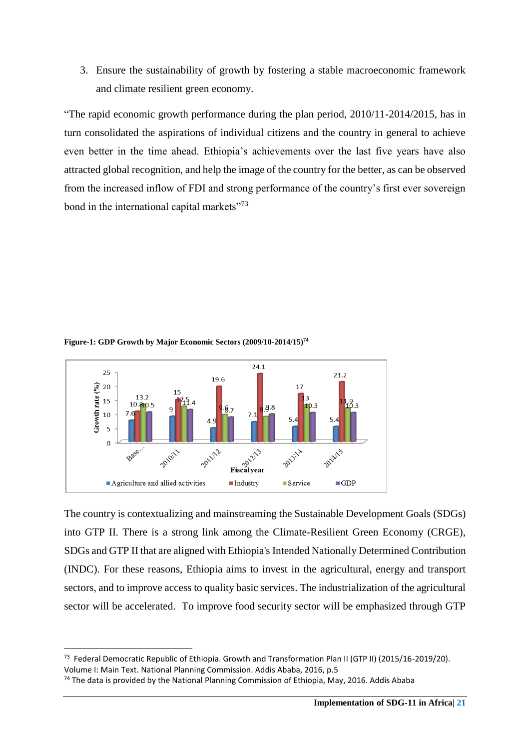3. Ensure the sustainability of growth by fostering a stable macroeconomic framework and climate resilient green economy.

"The rapid economic growth performance during the plan period, 2010/11-2014/2015, has in turn consolidated the aspirations of individual citizens and the country in general to achieve even better in the time ahead. Ethiopia's achievements over the last five years have also attracted global recognition, and help the image of the country for the better, as can be observed from the increased inflow of FDI and strong performance of the country's first ever sovereign bond in the international capital markets"<sup>73</sup>



**Figure-1: GDP Growth by Major Economic Sectors (2009/10-2014/15)<sup>74</sup>**

The country is contextualizing and mainstreaming the Sustainable Development Goals (SDGs) into GTP II. There is a strong link among the Climate-Resilient Green Economy (CRGE), SDGs and GTP II that are aligned with Ethiopia's Intended Nationally Determined Contribution (INDC). For these reasons, Ethiopia aims to invest in the agricultural, energy and transport sectors, and to improve access to quality basic services. The industrialization of the agricultural sector will be accelerated. To improve food security sector will be emphasized through GTP

<sup>&</sup>lt;sup>73</sup> Federal Democratic Republic of Ethiopia. Growth and Transformation Plan II (GTP II) (2015/16-2019/20).

Volume I: Main Text. National Planning Commission. Addis Ababa, 2016, p.5

 $74$  The data is provided by the National Planning Commission of Ethiopia, May, 2016. Addis Ababa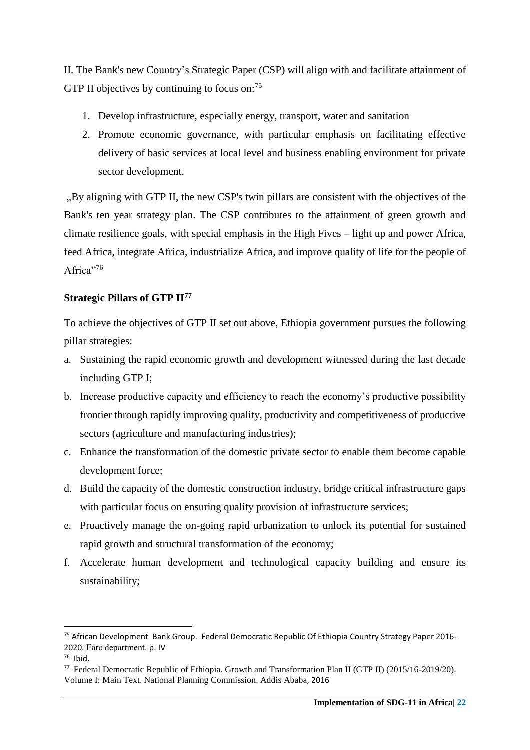II. The Bank's new Country's Strategic Paper (CSP) will align with and facilitate attainment of GTP II objectives by continuing to focus on:<sup>75</sup>

- 1. Develop infrastructure, especially energy, transport, water and sanitation
- 2. Promote economic governance, with particular emphasis on facilitating effective delivery of basic services at local level and business enabling environment for private sector development.

. By aligning with GTP II, the new CSP's twin pillars are consistent with the objectives of the Bank's ten year strategy plan. The CSP contributes to the attainment of green growth and climate resilience goals, with special emphasis in the High Fives – light up and power Africa, feed Africa, integrate Africa, industrialize Africa, and improve quality of life for the people of Africa"<sup>76</sup>

# <span id="page-22-0"></span>**Strategic Pillars of GTP II<sup>77</sup>**

To achieve the objectives of GTP II set out above, Ethiopia government pursues the following pillar strategies:

- a. Sustaining the rapid economic growth and development witnessed during the last decade including GTP I;
- b. Increase productive capacity and efficiency to reach the economy's productive possibility frontier through rapidly improving quality, productivity and competitiveness of productive sectors (agriculture and manufacturing industries);
- c. Enhance the transformation of the domestic private sector to enable them become capable development force;
- d. Build the capacity of the domestic construction industry, bridge critical infrastructure gaps with particular focus on ensuring quality provision of infrastructure services;
- e. Proactively manage the on-going rapid urbanization to unlock its potential for sustained rapid growth and structural transformation of the economy;
- f. Accelerate human development and technological capacity building and ensure its sustainability;

<sup>75</sup> African Development Bank Group. Federal Democratic Republic Of Ethiopia Country Strategy Paper 2016- 2020. Earc department. p. IV

<sup>76</sup> Ibid.

<sup>&</sup>lt;sup>77</sup> Federal Democratic Republic of Ethiopia. Growth and Transformation Plan II (GTP II) (2015/16-2019/20). Volume I: Main Text. National Planning Commission. Addis Ababa, 2016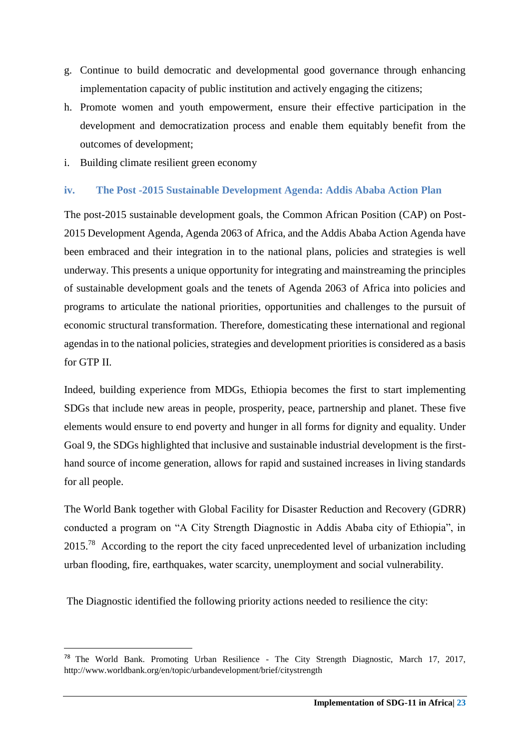- g. Continue to build democratic and developmental good governance through enhancing implementation capacity of public institution and actively engaging the citizens;
- h. Promote women and youth empowerment, ensure their effective participation in the development and democratization process and enable them equitably benefit from the outcomes of development;
- i. Building climate resilient green economy

# <span id="page-23-0"></span>**iv. The Post -2015 Sustainable Development Agenda: Addis Ababa Action Plan**

The post-2015 sustainable development goals, the Common African Position (CAP) on Post-2015 Development Agenda, Agenda 2063 of Africa, and the Addis Ababa Action Agenda have been embraced and their integration in to the national plans, policies and strategies is well underway. This presents a unique opportunity for integrating and mainstreaming the principles of sustainable development goals and the tenets of Agenda 2063 of Africa into policies and programs to articulate the national priorities, opportunities and challenges to the pursuit of economic structural transformation. Therefore, domesticating these international and regional agendas in to the national policies, strategies and development priorities is considered as a basis for GTP II.

Indeed, building experience from MDGs, Ethiopia becomes the first to start implementing SDGs that include new areas in people, prosperity, peace, partnership and planet. These five elements would ensure to end poverty and hunger in all forms for dignity and equality. Under Goal 9, the SDGs highlighted that inclusive and sustainable industrial development is the firsthand source of income generation, allows for rapid and sustained increases in living standards for all people.

The World Bank together with Global Facility for Disaster Reduction and Recovery (GDRR) conducted a program on "A City Strength Diagnostic in Addis Ababa city of Ethiopia", in  $2015<sup>78</sup>$  According to the report the city faced unprecedented level of urbanization including urban flooding, fire, earthquakes, water scarcity, unemployment and social vulnerability.

The Diagnostic identified the following priority actions needed to resilience the city:

<sup>&</sup>lt;sup>78</sup> The World Bank. Promoting Urban Resilience - The City Strength Diagnostic, March 17, 2017, <http://www.worldbank.org/en/topic/urbandevelopment/brief/citystrength>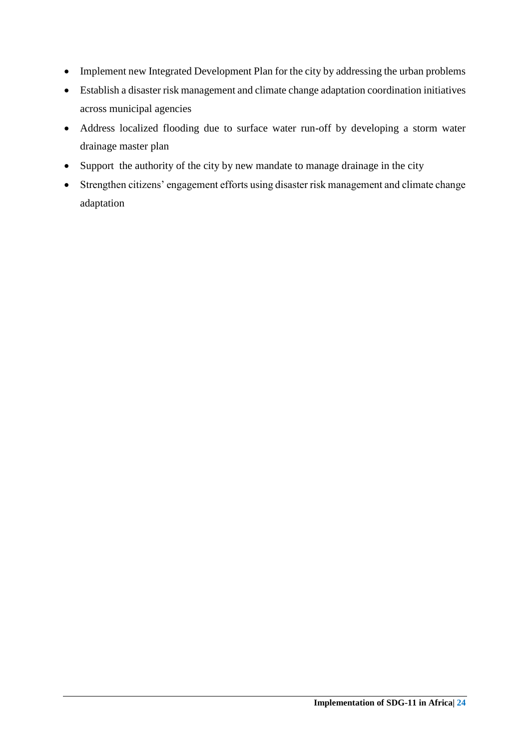- Implement new Integrated Development Plan for the city by addressing the urban problems
- Establish a disaster risk management and climate change adaptation coordination initiatives across municipal agencies
- Address localized flooding due to surface water run-off by developing a storm water drainage master plan
- Support the authority of the city by new mandate to manage drainage in the city
- Strengthen citizens' engagement efforts using disaster risk management and climate change adaptation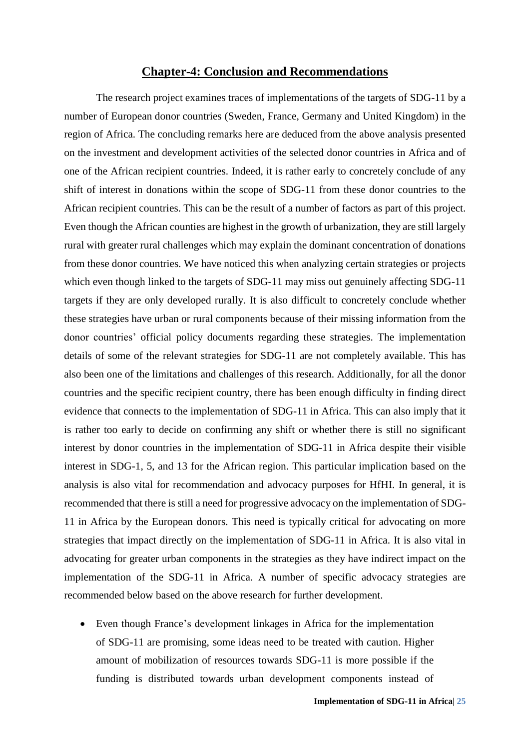#### **Chapter-4: Conclusion and Recommendations**

<span id="page-25-0"></span>The research project examines traces of implementations of the targets of SDG-11 by a number of European donor countries (Sweden, France, Germany and United Kingdom) in the region of Africa. The concluding remarks here are deduced from the above analysis presented on the investment and development activities of the selected donor countries in Africa and of one of the African recipient countries. Indeed, it is rather early to concretely conclude of any shift of interest in donations within the scope of SDG-11 from these donor countries to the African recipient countries. This can be the result of a number of factors as part of this project. Even though the African counties are highest in the growth of urbanization, they are still largely rural with greater rural challenges which may explain the dominant concentration of donations from these donor countries. We have noticed this when analyzing certain strategies or projects which even though linked to the targets of SDG-11 may miss out genuinely affecting SDG-11 targets if they are only developed rurally. It is also difficult to concretely conclude whether these strategies have urban or rural components because of their missing information from the donor countries' official policy documents regarding these strategies. The implementation details of some of the relevant strategies for SDG-11 are not completely available. This has also been one of the limitations and challenges of this research. Additionally, for all the donor countries and the specific recipient country, there has been enough difficulty in finding direct evidence that connects to the implementation of SDG-11 in Africa. This can also imply that it is rather too early to decide on confirming any shift or whether there is still no significant interest by donor countries in the implementation of SDG-11 in Africa despite their visible interest in SDG-1, 5, and 13 for the African region. This particular implication based on the analysis is also vital for recommendation and advocacy purposes for HfHI. In general, it is recommended that there is still a need for progressive advocacy on the implementation of SDG-11 in Africa by the European donors. This need is typically critical for advocating on more strategies that impact directly on the implementation of SDG-11 in Africa. It is also vital in advocating for greater urban components in the strategies as they have indirect impact on the implementation of the SDG-11 in Africa. A number of specific advocacy strategies are recommended below based on the above research for further development.

 Even though France's development linkages in Africa for the implementation of SDG-11 are promising, some ideas need to be treated with caution. Higher amount of mobilization of resources towards SDG-11 is more possible if the funding is distributed towards urban development components instead of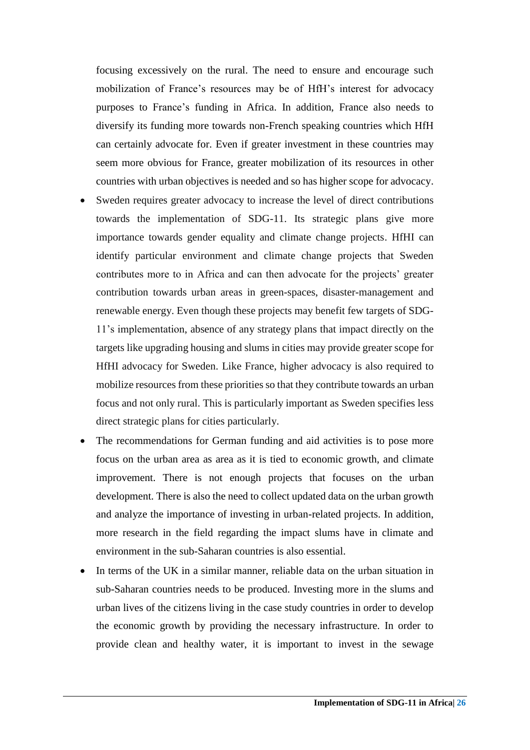focusing excessively on the rural. The need to ensure and encourage such mobilization of France's resources may be of HfH's interest for advocacy purposes to France's funding in Africa. In addition, France also needs to diversify its funding more towards non-French speaking countries which HfH can certainly advocate for. Even if greater investment in these countries may seem more obvious for France, greater mobilization of its resources in other countries with urban objectives is needed and so has higher scope for advocacy.

- Sweden requires greater advocacy to increase the level of direct contributions towards the implementation of SDG-11. Its strategic plans give more importance towards gender equality and climate change projects. HfHI can identify particular environment and climate change projects that Sweden contributes more to in Africa and can then advocate for the projects' greater contribution towards urban areas in green-spaces, disaster-management and renewable energy. Even though these projects may benefit few targets of SDG-11's implementation, absence of any strategy plans that impact directly on the targets like upgrading housing and slums in cities may provide greater scope for HfHI advocacy for Sweden. Like France, higher advocacy is also required to mobilize resources from these priorities so that they contribute towards an urban focus and not only rural. This is particularly important as Sweden specifies less direct strategic plans for cities particularly.
- The recommendations for German funding and aid activities is to pose more focus on the urban area as area as it is tied to economic growth, and climate improvement. There is not enough projects that focuses on the urban development. There is also the need to collect updated data on the urban growth and analyze the importance of investing in urban-related projects. In addition, more research in the field regarding the impact slums have in climate and environment in the sub-Saharan countries is also essential.
- In terms of the UK in a similar manner, reliable data on the urban situation in sub-Saharan countries needs to be produced. Investing more in the slums and urban lives of the citizens living in the case study countries in order to develop the economic growth by providing the necessary infrastructure. In order to provide clean and healthy water, it is important to invest in the sewage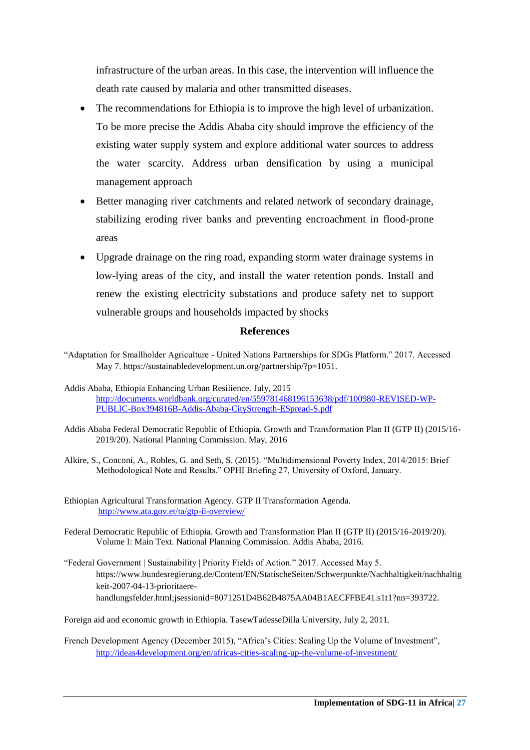infrastructure of the urban areas. In this case, the intervention will influence the death rate caused by malaria and other transmitted diseases.

- The recommendations for Ethiopia is to improve the high level of urbanization. To be more precise the Addis Ababa city should improve the efficiency of the existing water supply system and explore additional water sources to address the water scarcity. Address urban densification by using a municipal management approach
- Better managing river catchments and related network of secondary drainage, stabilizing eroding river banks and preventing encroachment in flood-prone areas
- Upgrade drainage on the ring road, expanding storm water drainage systems in low-lying areas of the city, and install the water retention ponds. Install and renew the existing electricity substations and produce safety net to support vulnerable groups and households impacted by shocks

#### **References**

<span id="page-27-0"></span>"Adaptation for Smallholder Agriculture - United Nations Partnerships for SDGs Platform." 2017. Accessed May 7. https://sustainabledevelopment.un.org/partnership/?p=1051.

- Addis Ababa Federal Democratic Republic of Ethiopia. Growth and Transformation Plan II (GTP II) (2015/16- 2019/20). National Planning Commission. May, 2016
- Alkire, S., Conconi, A., Robles, G. and Seth, S. (2015). "Multidimensional Poverty Index, 2014/2015: Brief Methodological Note and Results." OPHI Briefing 27, University of Oxford, January.
- Ethiopian Agricultural Transformation Agency. GTP II Transformation Agenda. <http://www.ata.gov.et/ta/gtp-ii-overview/>
- Federal Democratic Republic of Ethiopia. Growth and Transformation Plan II (GTP II) (2015/16-2019/20). Volume I: Main Text. National Planning Commission. Addis Ababa, 2016.
- "Federal Government | Sustainability | Priority Fields of Action." 2017. Accessed May 5. https://www.bundesregierung.de/Content/EN/StatischeSeiten/Schwerpunkte/Nachhaltigkeit/nachhaltig keit-2007-04-13-prioritaerehandlungsfelder.html;jsessionid=8071251D4B62B4875AA04B1AECFFBE41.s1t1?nn=393722.

Foreign aid and economic growth in Ethiopia. TasewTadesseDilla University, July 2, 2011.

French Development Agency (December 2015), "Africa's Cities: Scaling Up the Volume of Investment", <http://ideas4development.org/en/africas-cities-scaling-up-the-volume-of-investment/>

Addis Ababa, Ethiopia Enhancing Urban Resilience. July, 2015 [http://documents.worldbank.org/curated/en/559781468196153638/pdf/100980-REVISED-WP-](http://documents.worldbank.org/curated/en/559781468196153638/pdf/100980-REVISED-WP-PUBLIC-Box394816B-Addis-Ababa-CityStrength-ESpread-S.pdf)[PUBLIC-Box394816B-Addis-Ababa-CityStrength-ESpread-S.pdf](http://documents.worldbank.org/curated/en/559781468196153638/pdf/100980-REVISED-WP-PUBLIC-Box394816B-Addis-Ababa-CityStrength-ESpread-S.pdf)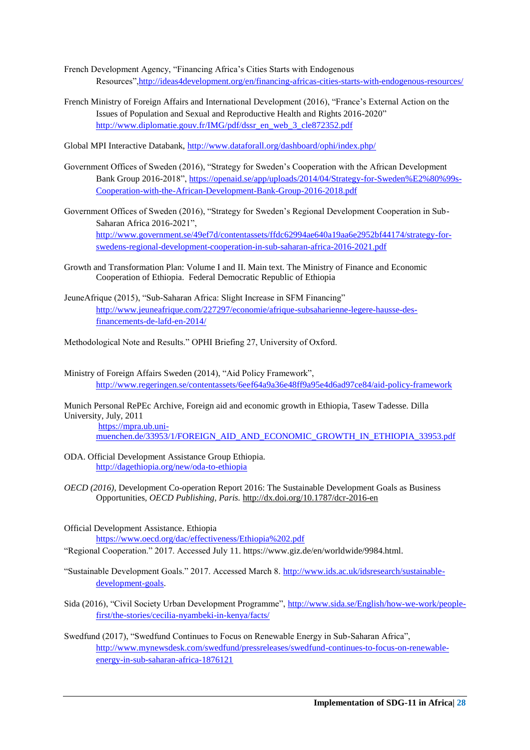- French Development Agency, "Financing Africa's Cities Starts with Endogenous Resources"[,http://ideas4development.org/en/financing-africas-cities-starts-with-endogenous-resources/](http://ideas4development.org/en/financing-africas-cities-starts-with-endogenous-resources/)
- French Ministry of Foreign Affairs and International Development (2016), "France's External Action on the Issues of Population and Sexual and Reproductive Health and Rights 2016-2020" [http://www.diplomatie.gouv.fr/IMG/pdf/dssr\\_en\\_web\\_3\\_cle872352.pdf](http://www.diplomatie.gouv.fr/IMG/pdf/dssr_en_web_3_cle872352.pdf)
- Global MPI Interactive Databank,<http://www.dataforall.org/dashboard/ophi/index.php/>
- Government Offices of Sweden (2016), "Strategy for Sweden's Cooperation with the African Development Bank Group 2016-2018", [https://openaid.se/app/uploads/2014/04/Strategy-for-Sweden%E2%80%99s-](https://openaid.se/app/uploads/2014/04/Strategy-for-Sweden%E2%80%99s-Cooperation-with-the-African-Development-Bank-Group-2016-2018.pdf)[Cooperation-with-the-African-Development-Bank-Group-2016-2018.pdf](https://openaid.se/app/uploads/2014/04/Strategy-for-Sweden%E2%80%99s-Cooperation-with-the-African-Development-Bank-Group-2016-2018.pdf)
- Government Offices of Sweden (2016), "Strategy for Sweden's Regional Development Cooperation in Sub-Saharan Africa 2016-2021", [http://www.government.se/49ef7d/contentassets/ffdc62994ae640a19aa6e2952bf44174/strategy-for](http://www.government.se/49ef7d/contentassets/ffdc62994ae640a19aa6e2952bf44174/strategy-for-swedens-regional-development-cooperation-in-sub-saharan-africa-2016-2021.pdf)[swedens-regional-development-cooperation-in-sub-saharan-africa-2016-2021.pdf](http://www.government.se/49ef7d/contentassets/ffdc62994ae640a19aa6e2952bf44174/strategy-for-swedens-regional-development-cooperation-in-sub-saharan-africa-2016-2021.pdf)
- Growth and Transformation Plan: Volume I and II. Main text. The Ministry of Finance and Economic Cooperation of Ethiopia. Federal Democratic Republic of Ethiopia
- JeuneAfrique (2015), "Sub-Saharan Africa: Slight Increase in SFM Financing" [http://www.jeuneafrique.com/227297/economie/afrique-subsaharienne-legere-hausse-des](http://www.jeuneafrique.com/227297/economie/afrique-subsaharienne-legere-hausse-des-financements-de-lafd-en-2014/)[financements-de-lafd-en-2014/](http://www.jeuneafrique.com/227297/economie/afrique-subsaharienne-legere-hausse-des-financements-de-lafd-en-2014/)
- Methodological Note and Results." OPHI Briefing 27, University of Oxford.
- Ministry of Foreign Affairs Sweden (2014), "Aid Policy Framework", <http://www.regeringen.se/contentassets/6eef64a9a36e48ff9a95e4d6ad97ce84/aid-policy-framework>

Munich Personal RePEc Archive, Foreign aid and economic growth in Ethiopia, Tasew Tadesse. Dilla University, July, 2011

[https://mpra.ub.uni](https://mpra.ub.uni-muenchen.de/33953/1/FOREIGN_AID_AND_ECONOMIC_GROWTH_IN_ETHIOPIA_33953.pdf)[muenchen.de/33953/1/FOREIGN\\_AID\\_AND\\_ECONOMIC\\_GROWTH\\_IN\\_ETHIOPIA\\_33953.pdf](https://mpra.ub.uni-muenchen.de/33953/1/FOREIGN_AID_AND_ECONOMIC_GROWTH_IN_ETHIOPIA_33953.pdf)

- ODA. Official Development Assistance Group Ethiopia. <http://dagethiopia.org/new/oda-to-ethiopia>
- *OECD (2016),* Development Co-operation Report 2016: The Sustainable Development Goals as Business Opportunities*, OECD Publishing, Paris.* <http://dx.doi.org/10.1787/dcr-2016-en>
- Official Development Assistance. Ethiopia <https://www.oecd.org/dac/effectiveness/Ethiopia%202.pdf>
- "Regional Cooperation." 2017. Accessed July 11. https://www.giz.de/en/worldwide/9984.html.
- "Sustainable Development Goals." 2017. Accessed March 8. [http://www.ids.ac.uk/idsresearch/sustainable](http://www.ids.ac.uk/idsresearch/sustainable-development-goals)[development-goals.](http://www.ids.ac.uk/idsresearch/sustainable-development-goals)
- Sida (2016), "Civil Society Urban Development Programme", [http://www.sida.se/English/how-we-work/people](http://www.sida.se/English/how-we-work/people-first/the-stories/cecilia-nyambeki-in-kenya/facts/)[first/the-stories/cecilia-nyambeki-in-kenya/facts/](http://www.sida.se/English/how-we-work/people-first/the-stories/cecilia-nyambeki-in-kenya/facts/)
- Swedfund (2017), "Swedfund Continues to Focus on Renewable Energy in Sub-Saharan Africa", [http://www.mynewsdesk.com/swedfund/pressreleases/swedfund-continues-to-focus-on-renewable](http://www.mynewsdesk.com/swedfund/pressreleases/swedfund-continues-to-focus-on-renewable-energy-in-sub-saharan-africa-1876121)[energy-in-sub-saharan-africa-1876121](http://www.mynewsdesk.com/swedfund/pressreleases/swedfund-continues-to-focus-on-renewable-energy-in-sub-saharan-africa-1876121)